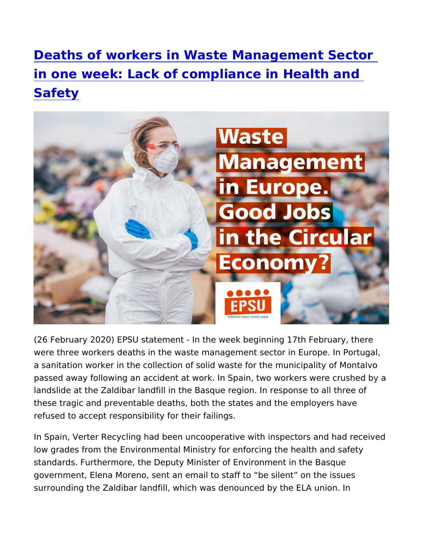[Deaths of workers in Waste Managemen](https://www.epsu.org/article/deaths-workers-waste-management-sector-one-week-lack-compliance-health-and-safety)t Se [in one week: Lack of compliance in H](https://www.epsu.org/article/deaths-workers-waste-management-sector-one-week-lack-compliance-health-and-safety)ealth a [Safet](https://www.epsu.org/article/deaths-workers-waste-management-sector-one-week-lack-compliance-health-and-safety)y

(26 February 2020) EPSU statement - In the week beginning 17th were three workers deaths in the waste management sector in Eur a sanitation worker in the collection of solid waste for the munici passed away following an accident at work. In Spain, two workers landslide at the Zaldibar landfill in the Basque region. In respons these tragic and preventable deaths, both the states and the emp refused to accept responsibility for their failings.

In Spain, Verter Recycling had been uncooperative with inspector low grades from the Environmental Ministry for enforcing the heal standards. Furthermore, the Deputy Minister of Environment in th government, Elena Moreno, sent an email to staff to be silent or surrounding the Zaldibar landfill, which was denounced by the EL